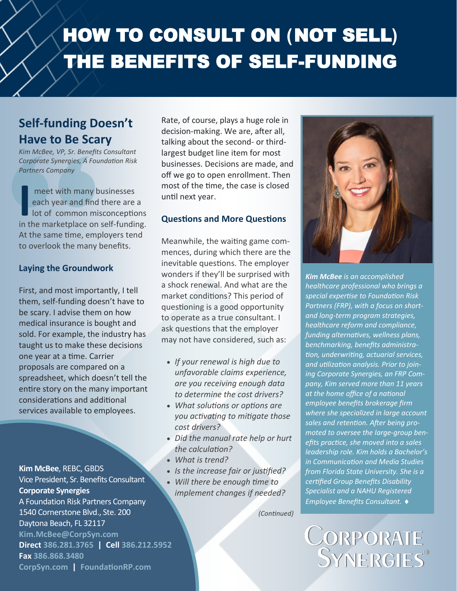# HOW TO CONSULT ON **(**NOT SELL**)** THE BENEFITS OF SELF-FUNDING

# **Self-funding Doesn't Have to Be Scary**

*Kim McBee, VP, Sr. Benefits Consultant Corporate Synergies, A Foundation Risk Partners Company* 

**I** in the marketplace on self-funding. meet with many businesses each year and find there are a lot of common misconceptions At the same time, employers tend to overlook the many benefits.

#### **Laying the Groundwork**

First, and most importantly, I tell them, self-funding doesn't have to be scary. I advise them on how medical insurance is bought and sold. For example, the industry has taught us to make these decisions one year at a time. Carrier proposals are compared on a spreadsheet, which doesn't tell the entire story on the many important considerations and additional services available to employees.

**Kim McBee**, REBC, GBDS Vice President, Sr. Benefits Consultant **Corporate Synergies** A Foundation Risk Partners Company 1540 Cornerstone Blvd., Ste. 200 Daytona Beach, FL 32117 **Kim.McBee@CorpSyn.com Direct 386.281.3765 | Cell 386.212.5952 Fax 386.868.3480 CorpSyn.com | FoundationRP.com**

Rate, of course, plays a huge role in decision-making. We are, after all, talking about the second- or thirdlargest budget line item for most businesses. Decisions are made, and off we go to open enrollment. Then most of the time, the case is closed until next year.

#### **Questions and More Questions**

Meanwhile, the waiting game commences, during which there are the inevitable questions. The employer wonders if they'll be surprised with a shock renewal. And what are the market conditions? This period of questioning is a good opportunity to operate as a true consultant. I ask questions that the employer may not have considered, such as:

- *If your renewal is high due to unfavorable claims experience, are you receiving enough data to determine the cost drivers?*
- *What solutions or options are you activating to mitigate those cost drivers?*
- *Did the manual rate help or hurt the calculation?*
- *What is trend?*
- *Is the increase fair or justified?*
- *Will there be enough time to implement changes if needed?*

*(Continued)* 



*Kim McBee is an accomplished healthcare professional who brings a special expertise to Foundation Risk Partners (FRP), with a focus on shortand long-term program strategies, healthcare reform and compliance, funding alternatives, wellness plans, benchmarking, benefits administration, underwriting, actuarial services, and utilization analysis. Prior to joining Corporate Synergies, an FRP Company, Kim served more than 11 years at the home office of a national employee benefits brokerage firm where she specialized in large account sales and retention. After being promoted to oversee the large-group benefits practice, she moved into a sales leadership role. Kim holds a Bachelor's in Communication and Media Studies from Florida State University. She is a certified Group Benefits Disability Specialist and a NAHU Registered Employee Benefits Consultant.* 

CORPORATE<br>SYNERGIES®